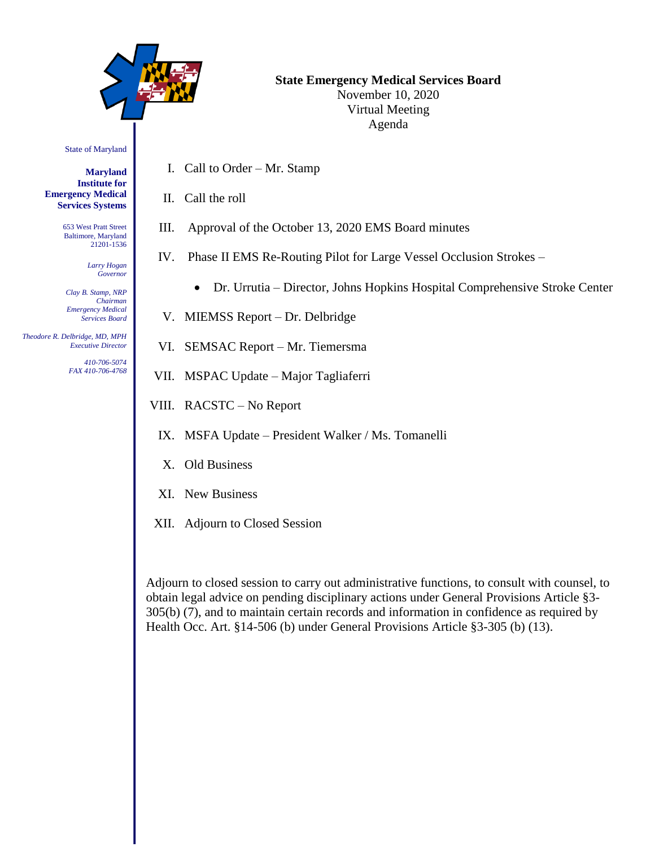

# **State Emergency Medical Services Board** November 10, 2020 Virtual Meeting

Agenda

State of Maryland

**Maryland Institute for Emergency Medical Services Systems**

> 653 West Pratt Street Baltimore, Maryland 21201-1536

> > *Larry Hogan Governor*

*Clay B. Stamp, NRP Chairman Emergency Medical Services Board*

 *Theodore R. Delbridge, MD, MPH Executive Director*

> *410-706-5074 FAX 410-706-4768*

- I. Call to Order Mr. Stamp
- II. Call the roll

III. Approval of the October 13, 2020 EMS Board minutes

- IV. Phase II EMS Re-Routing Pilot for Large Vessel Occlusion Strokes
	- Dr. Urrutia Director, Johns Hopkins Hospital Comprehensive Stroke Center
- V. MIEMSS Report Dr. Delbridge
- VI. SEMSAC Report Mr. Tiemersma
- VII. MSPAC Update Major Tagliaferri
- VIII. RACSTC No Report
	- IX. MSFA Update President Walker / Ms. Tomanelli
	- X. Old Business
- XI. New Business
- XII. Adjourn to Closed Session

Adjourn to closed session to carry out administrative functions, to consult with counsel, to obtain legal advice on pending disciplinary actions under General Provisions Article §3- 305(b) (7), and to maintain certain records and information in confidence as required by Health Occ. Art. §14-506 (b) under General Provisions Article §3-305 (b) (13).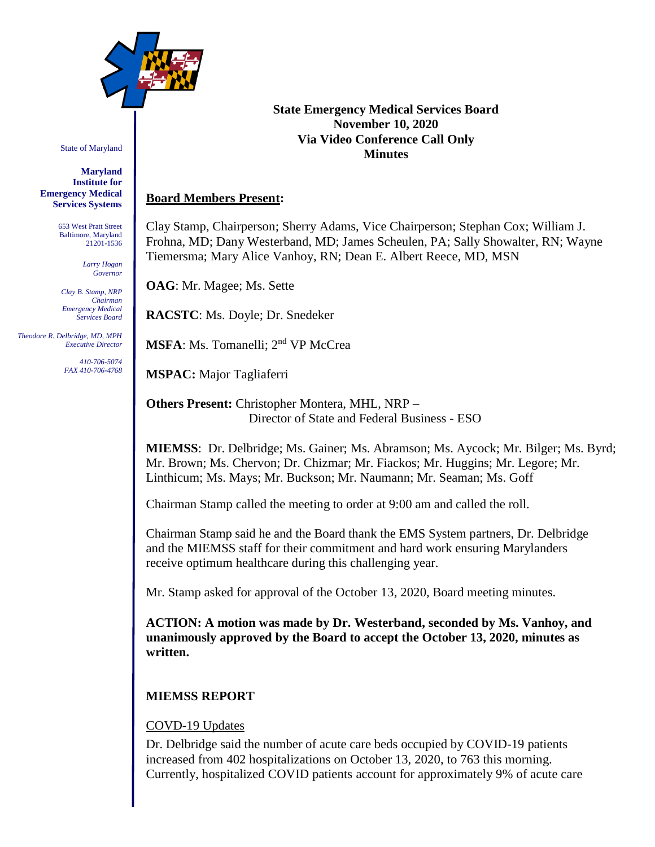

State of Maryland

**Maryland Institute for Emergency Medical Services Systems**

> 653 West Pratt Street Baltimore, Maryland 21201-1536

> > *Larry Hogan Governor*

*Clay B. Stamp, NRP Chairman Emergency Medical Services Board*

 *Theodore R. Delbridge, MD, MPH Executive Director*

> *410-706-5074 FAX 410-706-4768*

### **State Emergency Medical Services Board November 10, 2020 Via Video Conference Call Only Minutes**

# **Board Members Present:**

Clay Stamp, Chairperson; Sherry Adams, Vice Chairperson; Stephan Cox; William J. Frohna, MD; Dany Westerband, MD; James Scheulen, PA; Sally Showalter, RN; Wayne Tiemersma; Mary Alice Vanhoy, RN; Dean E. Albert Reece, MD, MSN

**OAG**: Mr. Magee; Ms. Sette

**RACSTC**: Ms. Doyle; Dr. Snedeker

**MSFA**: Ms. Tomanelli; 2nd VP McCrea

**MSPAC:** Major Tagliaferri

**Others Present:** Christopher Montera, MHL, NRP – Director of State and Federal Business - ESO

**MIEMSS**: Dr. Delbridge; Ms. Gainer; Ms. Abramson; Ms. Aycock; Mr. Bilger; Ms. Byrd; Mr. Brown; Ms. Chervon; Dr. Chizmar; Mr. Fiackos; Mr. Huggins; Mr. Legore; Mr. Linthicum; Ms. Mays; Mr. Buckson; Mr. Naumann; Mr. Seaman; Ms. Goff

Chairman Stamp called the meeting to order at 9:00 am and called the roll.

Chairman Stamp said he and the Board thank the EMS System partners, Dr. Delbridge and the MIEMSS staff for their commitment and hard work ensuring Marylanders receive optimum healthcare during this challenging year.

Mr. Stamp asked for approval of the October 13, 2020, Board meeting minutes.

**ACTION: A motion was made by Dr. Westerband, seconded by Ms. Vanhoy, and unanimously approved by the Board to accept the October 13, 2020, minutes as written.**

# **MIEMSS REPORT**

# COVD-19 Updates

Dr. Delbridge said the number of acute care beds occupied by COVID-19 patients increased from 402 hospitalizations on October 13, 2020, to 763 this morning. Currently, hospitalized COVID patients account for approximately 9% of acute care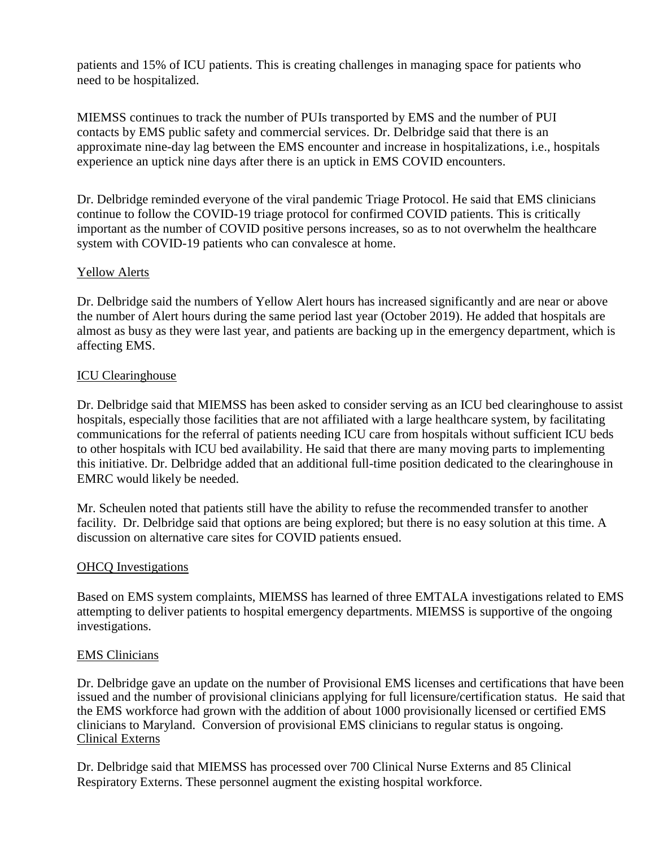patients and 15% of ICU patients. This is creating challenges in managing space for patients who need to be hospitalized.

MIEMSS continues to track the number of PUIs transported by EMS and the number of PUI contacts by EMS public safety and commercial services. Dr. Delbridge said that there is an approximate nine-day lag between the EMS encounter and increase in hospitalizations, i.e., hospitals experience an uptick nine days after there is an uptick in EMS COVID encounters.

Dr. Delbridge reminded everyone of the viral pandemic Triage Protocol. He said that EMS clinicians continue to follow the COVID-19 triage protocol for confirmed COVID patients. This is critically important as the number of COVID positive persons increases, so as to not overwhelm the healthcare system with COVID-19 patients who can convalesce at home.

# Yellow Alerts

Dr. Delbridge said the numbers of Yellow Alert hours has increased significantly and are near or above the number of Alert hours during the same period last year (October 2019). He added that hospitals are almost as busy as they were last year, and patients are backing up in the emergency department, which is affecting EMS.

#### ICU Clearinghouse

Dr. Delbridge said that MIEMSS has been asked to consider serving as an ICU bed clearinghouse to assist hospitals, especially those facilities that are not affiliated with a large healthcare system, by facilitating communications for the referral of patients needing ICU care from hospitals without sufficient ICU beds to other hospitals with ICU bed availability. He said that there are many moving parts to implementing this initiative. Dr. Delbridge added that an additional full-time position dedicated to the clearinghouse in EMRC would likely be needed.

Mr. Scheulen noted that patients still have the ability to refuse the recommended transfer to another facility. Dr. Delbridge said that options are being explored; but there is no easy solution at this time. A discussion on alternative care sites for COVID patients ensued.

#### OHCQ Investigations

Based on EMS system complaints, MIEMSS has learned of three EMTALA investigations related to EMS attempting to deliver patients to hospital emergency departments. MIEMSS is supportive of the ongoing investigations.

#### EMS Clinicians

Dr. Delbridge gave an update on the number of Provisional EMS licenses and certifications that have been issued and the number of provisional clinicians applying for full licensure/certification status. He said that the EMS workforce had grown with the addition of about 1000 provisionally licensed or certified EMS clinicians to Maryland. Conversion of provisional EMS clinicians to regular status is ongoing. Clinical Externs

Dr. Delbridge said that MIEMSS has processed over 700 Clinical Nurse Externs and 85 Clinical Respiratory Externs. These personnel augment the existing hospital workforce.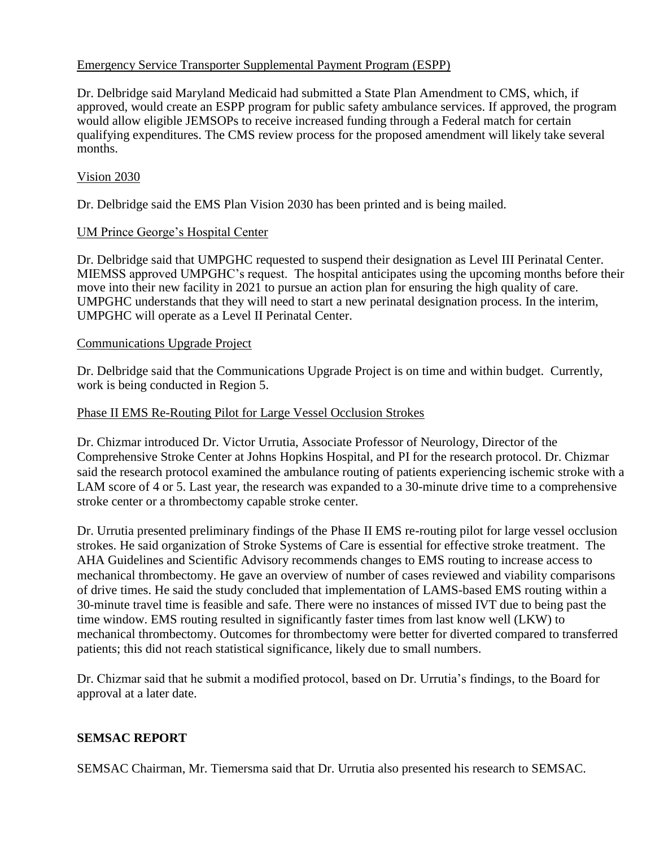# Emergency Service Transporter Supplemental Payment Program (ESPP)

Dr. Delbridge said Maryland Medicaid had submitted a State Plan Amendment to CMS, which, if approved, would create an ESPP program for public safety ambulance services. If approved, the program would allow eligible JEMSOPs to receive increased funding through a Federal match for certain qualifying expenditures. The CMS review process for the proposed amendment will likely take several months.

### Vision 2030

Dr. Delbridge said the EMS Plan Vision 2030 has been printed and is being mailed.

#### UM Prince George's Hospital Center

Dr. Delbridge said that UMPGHC requested to suspend their designation as Level III Perinatal Center. MIEMSS approved UMPGHC's request. The hospital anticipates using the upcoming months before their move into their new facility in 2021 to pursue an action plan for ensuring the high quality of care. UMPGHC understands that they will need to start a new perinatal designation process. In the interim, UMPGHC will operate as a Level II Perinatal Center.

#### Communications Upgrade Project

Dr. Delbridge said that the Communications Upgrade Project is on time and within budget. Currently, work is being conducted in Region 5.

#### Phase II EMS Re-Routing Pilot for Large Vessel Occlusion Strokes

Dr. Chizmar introduced Dr. Victor Urrutia, Associate Professor of Neurology, Director of the Comprehensive Stroke Center at Johns Hopkins Hospital, and PI for the research protocol. Dr. Chizmar said the research protocol examined the ambulance routing of patients experiencing ischemic stroke with a LAM score of 4 or 5. Last year, the research was expanded to a 30-minute drive time to a comprehensive stroke center or a thrombectomy capable stroke center.

Dr. Urrutia presented preliminary findings of the Phase II EMS re-routing pilot for large vessel occlusion strokes. He said organization of Stroke Systems of Care is essential for effective stroke treatment. The AHA Guidelines and Scientific Advisory recommends changes to EMS routing to increase access to mechanical thrombectomy. He gave an overview of number of cases reviewed and viability comparisons of drive times. He said the study concluded that implementation of LAMS-based EMS routing within a 30-minute travel time is feasible and safe. There were no instances of missed IVT due to being past the time window. EMS routing resulted in significantly faster times from last know well (LKW) to mechanical thrombectomy. Outcomes for thrombectomy were better for diverted compared to transferred patients; this did not reach statistical significance, likely due to small numbers.

Dr. Chizmar said that he submit a modified protocol, based on Dr. Urrutia's findings, to the Board for approval at a later date.

#### **SEMSAC REPORT**

SEMSAC Chairman, Mr. Tiemersma said that Dr. Urrutia also presented his research to SEMSAC.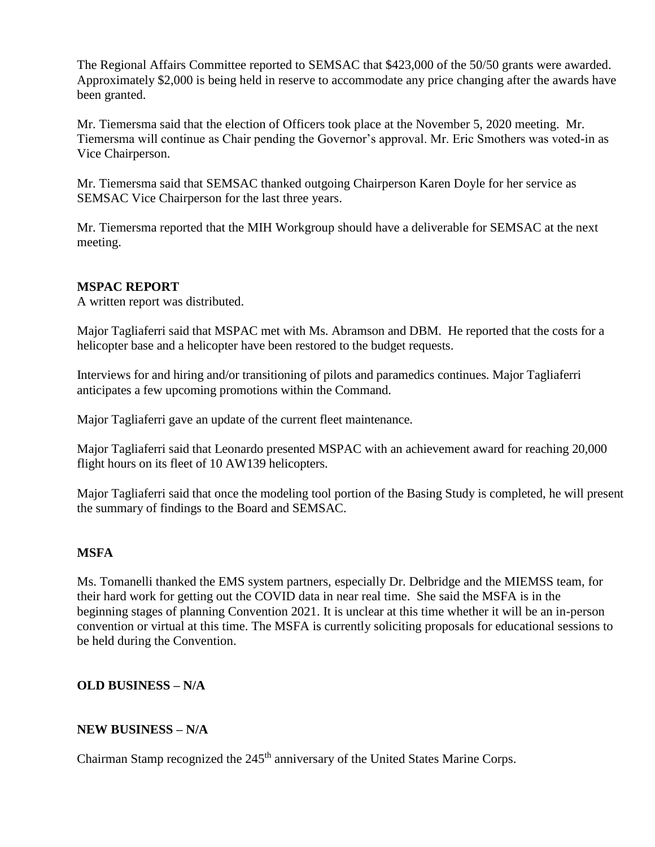The Regional Affairs Committee reported to SEMSAC that \$423,000 of the 50/50 grants were awarded. Approximately \$2,000 is being held in reserve to accommodate any price changing after the awards have been granted.

Mr. Tiemersma said that the election of Officers took place at the November 5, 2020 meeting. Mr. Tiemersma will continue as Chair pending the Governor's approval. Mr. Eric Smothers was voted-in as Vice Chairperson.

Mr. Tiemersma said that SEMSAC thanked outgoing Chairperson Karen Doyle for her service as SEMSAC Vice Chairperson for the last three years.

Mr. Tiemersma reported that the MIH Workgroup should have a deliverable for SEMSAC at the next meeting.

### **MSPAC REPORT**

A written report was distributed.

Major Tagliaferri said that MSPAC met with Ms. Abramson and DBM. He reported that the costs for a helicopter base and a helicopter have been restored to the budget requests.

Interviews for and hiring and/or transitioning of pilots and paramedics continues. Major Tagliaferri anticipates a few upcoming promotions within the Command.

Major Tagliaferri gave an update of the current fleet maintenance.

Major Tagliaferri said that Leonardo presented MSPAC with an achievement award for reaching 20,000 flight hours on its fleet of 10 AW139 helicopters.

Major Tagliaferri said that once the modeling tool portion of the Basing Study is completed, he will present the summary of findings to the Board and SEMSAC.

#### **MSFA**

Ms. Tomanelli thanked the EMS system partners, especially Dr. Delbridge and the MIEMSS team, for their hard work for getting out the COVID data in near real time. She said the MSFA is in the beginning stages of planning Convention 2021. It is unclear at this time whether it will be an in-person convention or virtual at this time. The MSFA is currently soliciting proposals for educational sessions to be held during the Convention.

# **OLD BUSINESS – N/A**

#### **NEW BUSINESS – N/A**

Chairman Stamp recognized the 245<sup>th</sup> anniversary of the United States Marine Corps.